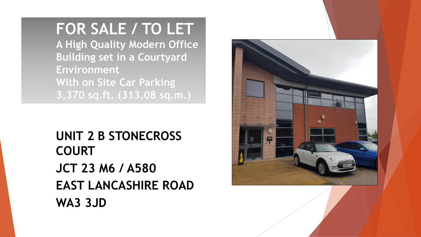# **FOR SALE / TO LET**

**A High Quality Modern Office Building set in a Courtyard Environment With on Site Car Parking 3,370 sq.ft. (313.08 sq.m.)**

**UNIT 2 B STONECROSS COURT JCT 23 M6 / A580 EAST LANCASHIRE ROAD WA3 3JD**

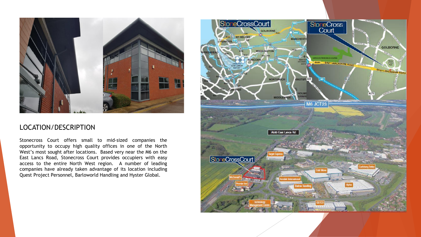

#### LOCATION/DESCRIPTION

Stonecross Court offers small to mid-sized companies the opportunity to occupy high quality offices in one of the North West's most sought after locations. Based very near the M6 on the East Lancs Road, Stonecross Court provides occupiers with easy access to the entire North West region. A number of leading companies have already taken advantage of its location including Quest Project Personnel, Barloworld Handling and Hyster Global.

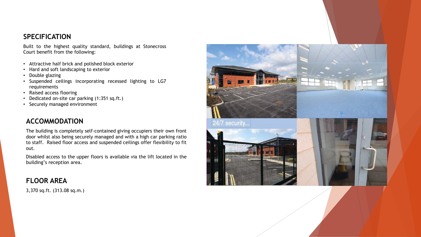#### **SPECIFICATION**

Built to the highest quality standard, buildings at Stonecross Court benefit from the following:

- Attractive half brick and polished block exterior
- Hard and soft landscaping to exterior
- Double glazing
- Suspended ceilings incorporating recessed lighting to LG7 requirements
- Raised access flooring
- Dedicated on-site car parking (1:351 sq.ft.)
- Securely managed environment

# **ACCOMMODATION**

The building is completely self-contained giving occupiers their own front door whilst also being securely managed and with a high car parking ratio to staff. Raised floor access and suspended ceilings offer flexibility to fit out.

Disabled access to the upper floors is available via the lift located in the building's reception area.

# **FLOOR AREA**

3,370 sq.ft. (313.08 sq.m.)